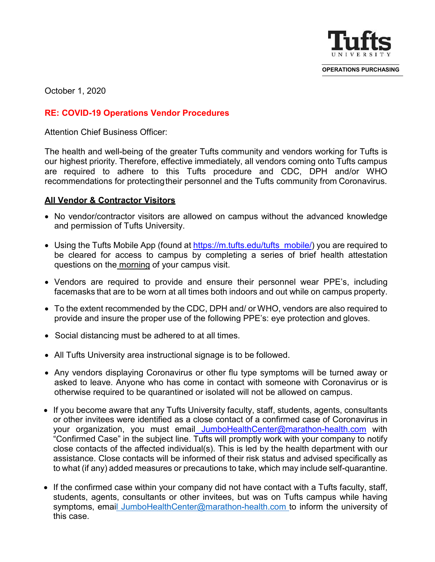

**OPERATIONS PURCHASING**

October 1, 2020

## **RE: COVID-19 Operations Vendor Procedures**

Attention Chief Business Officer:

The health and well-being of the greater Tufts community and vendors working for Tufts is our highest priority. Therefore, effective immediately, all vendors coming onto Tufts campus are required to adhere to this Tufts procedure and CDC, DPH and/or WHO recommendations for protectingtheir personnel and the Tufts community from Coronavirus.

## **All Vendor & Contractor Visitors**

- No vendor/contractor visitors are allowed on campus without the advanced knowledge and permission of Tufts University.
- Using the Tufts Mobile App (found at [https://m.tufts.edu/tufts\\_mobile/\)](https://m.tufts.edu/tufts_mobile/) you are required to be cleared for access to campus by completing a series of brief health attestation questions on the morning of your campus visit.
- Vendors are required to provide and ensure their personnel wear PPE's, including facemasks that are to be worn at all times both indoors and out while on campus property.
- To the extent recommended by the CDC, DPH and/ or WHO, vendors are also required to provide and insure the proper use of the following PPE's: eye protection and gloves.
- Social distancing must be adhered to at all times.
- All Tufts University area instructional signage is to be followed.
- Any vendors displaying Coronavirus or other flu type symptoms will be turned away or asked to leave. Anyone who has come in contact with someone with Coronavirus or is otherwise required to be quarantined or isolated will not be allowed on campus.
- If you become aware that any Tufts University faculty, staff, students, agents, consultants or other invitees were identified as a close contact of a confirmed case of Coronavirus in your organization, you must email [JumboHealthCenter@marathon-health.com](mailto:covid19@tufts.edu) with "Confirmed Case" in the subject line. Tufts will promptly work with your company to notify close contacts of the affected individual(s). This is led by the health department with our assistance. Close contacts will be informed of their risk status and advised specifically as to what (if any) added measures or precautions to take, which may include self-quarantine.
- If the confirmed case within your company did not have contact with a Tufts faculty, staff, students, agents, consultants or other invitees, but was on Tufts campus while having symptoms, ema[il JumboHealthCenter@marathon-health.com t](mailto:l%20JumboHealthCenter@marathon-health.com)o inform the university of this case.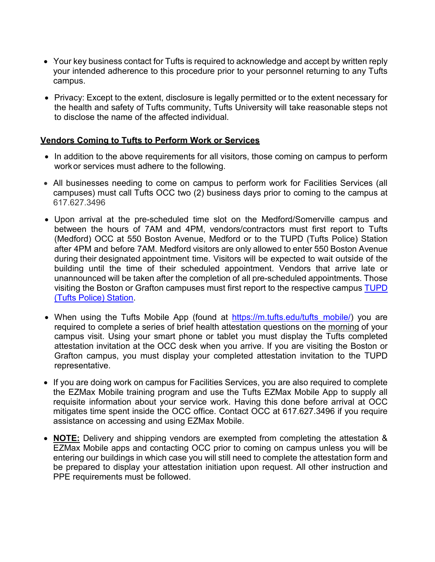- Your key business contact for Tufts is required to acknowledge and accept by written reply your intended adherence to this procedure prior to your personnel returning to any Tufts campus.
- Privacy: Except to the extent, disclosure is legally permitted or to the extent necessary for the health and safety of Tufts community, Tufts University will take reasonable steps not to disclose the name of the affected individual.

## **Vendors Coming to Tufts to Perform Work or Services**

- In addition to the above requirements for all visitors, those coming on campus to perform workor services must adhere to the following.
- All businesses needing to come on campus to perform work for Facilities Services (all campuses) must call Tufts OCC two (2) business days prior to coming to the campus at 617.627.3496
- Upon arrival at the pre-scheduled time slot on the Medford/Somerville campus and between the hours of 7AM and 4PM, vendors/contractors must first report to Tufts (Medford) OCC at 550 Boston Avenue, Medford or to the TUPD (Tufts Police) Station after 4PM and before 7AM. Medford visitors are only allowed to enter 550 Boston Avenue during their designated appointment time. Visitors will be expected to wait outside of the building until the time of their scheduled appointment. Vendors that arrive late or unannounced will be taken after the completion of all pre-scheduled appointments. Those visiting the Boston or Grafton campuses must first report to the respective campus [TUPD](https://publicsafety.tufts.edu/police/about-tupd/station-locations/)  [\(Tufts Police\)](https://publicsafety.tufts.edu/police/about-tupd/station-locations/) Station.
- When using the Tufts Mobile App (found at [https://m.tufts.edu/tufts\\_mobile/\)](https://m.tufts.edu/tufts_mobile/) you are required to complete a series of brief health attestation questions on the morning of your campus visit. Using your smart phone or tablet you must display the Tufts completed attestation invitation at the OCC desk when you arrive. If you are visiting the Boston or Grafton campus, you must display your completed attestation invitation to the TUPD representative.
- If you are doing work on campus for Facilities Services, you are also required to complete the EZMax Mobile training program and use the Tufts EZMax Mobile App to supply all requisite information about your service work. Having this done before arrival at OCC mitigates time spent inside the OCC office. Contact OCC at 617.627.3496 if you require assistance on accessing and using EZMax Mobile.
- **NOTE:** Delivery and shipping vendors are exempted from completing the attestation & EZMax Mobile apps and contacting OCC prior to coming on campus unless you will be entering our buildings in which case you will still need to complete the attestation form and be prepared to display your attestation initiation upon request. All other instruction and PPE requirements must be followed.